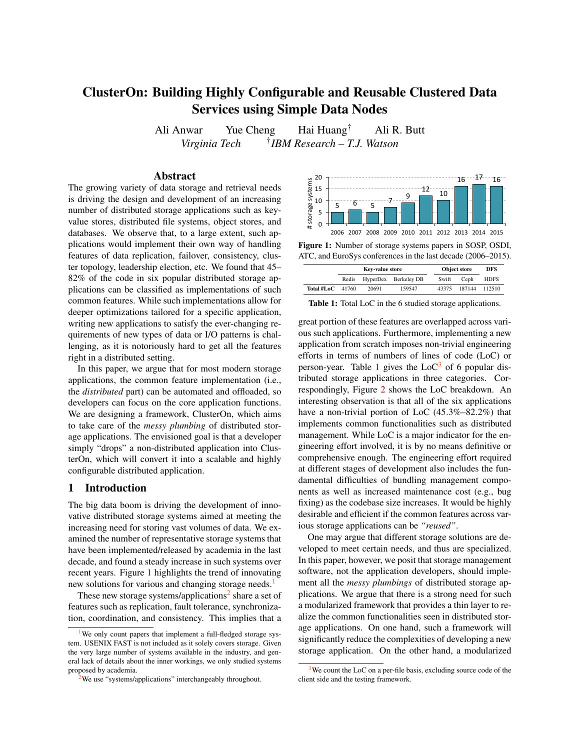# ClusterOn: Building Highly Configurable and Reusable Clustered Data Services using Simple Data Nodes

Ali Anwar Yue Cheng Hai Huang† Ali R. Butt *Virginia Tech* † *IBM Research – T.J. Watson*

## Abstract

The growing variety of data storage and retrieval needs is driving the design and development of an increasing number of distributed storage applications such as keyvalue stores, distributed file systems, object stores, and databases. We observe that, to a large extent, such applications would implement their own way of handling features of data replication, failover, consistency, cluster topology, leadership election, etc. We found that 45– 82% of the code in six popular distributed storage applications can be classified as implementations of such common features. While such implementations allow for deeper optimizations tailored for a specific application, writing new applications to satisfy the ever-changing requirements of new types of data or I/O patterns is challenging, as it is notoriously hard to get all the features right in a distributed setting. Hively the design and development of an increasing because  $\frac{1}{2}$  is the system system and development of an increasing, object stores, and increasing the system significations would implement their own way of handling

In this paper, we argue that for most modern storage applications, the common feature implementation (i.e., the *distributed* part) can be automated and offloaded, so developers can focus on the core application functions. We are designing a framework, ClusterOn, which aims to take care of the *messy plumbing* of distributed storage applications. The envisioned goal is that a developer simply "drops" a non-distributed application into ClusterOn, which will convert it into a scalable and highly configurable distributed application.

### 1 Introduction

The big data boom is driving the development of innovative distributed storage systems aimed at meeting the increasing need for storing vast volumes of data. We examined the number of representative storage systems that have been implemented/released by academia in the last decade, and found a steady increase in such systems over recent years. Figure [1](#page-0-0) highlights the trend of innovating new solutions for various and changing storage needs.<sup>1</sup>

These new storage systems/applications<sup>2</sup> share a set of features such as replication, fault tolerance, synchronization, coordination, and consistency. This implies that a

<span id="page-0-0"></span>

Figure 1: Number of storage systems papers in SOSP, OSDI, ATC, and EuroSys conferences in the last decade (2006–2015).

<span id="page-0-1"></span>

|                    | Key-value store |       |                      | <b>Object store</b> |        | DFS         |
|--------------------|-----------------|-------|----------------------|---------------------|--------|-------------|
|                    | Redis           |       | HyperDex Berkeley DB | Swift               | Ceph   | <b>HDFS</b> |
| Total #LoC $41760$ |                 | 20691 | 159547               | 43375               | 187144 | 112510      |

Table 1: Total LoC in the 6 studied storage applications.

great portion of these features are overlapped across various such applications. Furthermore, implementing a new application from scratch imposes non-trivial engineering efforts in terms of numbers of lines of code (LoC) or person-year. Table [1](#page-0-1) gives the  $LoC<sup>3</sup>$  of 6 popular distributed storage applications in three categories. Correspondingly, Figure [2](#page-1-0) shows the LoC breakdown. An interesting observation is that all of the six applications have a non-trivial portion of LoC (45.3%–82.2%) that implements common functionalities such as distributed management. While LoC is a major indicator for the engineering effort involved, it is by no means definitive or comprehensive enough. The engineering effort required at different stages of development also includes the fundamental difficulties of bundling management components as well as increased maintenance cost (e.g., bug fixing) as the codebase size increases. It would be highly desirable and efficient if the common features across various storage applications can be *"reused"*.

One may argue that different storage solutions are developed to meet certain needs, and thus are specialized. In this paper, however, we posit that storage management software, not the application developers, should implement all the *messy plumbings* of distributed storage applications. We argue that there is a strong need for such a modularized framework that provides a thin layer to realize the common functionalities seen in distributed storage applications. On one hand, such a framework will significantly reduce the complexities of developing a new storage application. On the other hand, a modularized

We only count papers that implement a full-fledged storage system. USENIX FAST is not included as it solely covers storage. Given the very large number of systems available in the industry, and general lack of details about the inner workings, we only studied systems proposed by academia.

 $3$ We count the LoC on a per-file basis, excluding source code of the client side and the testing framework.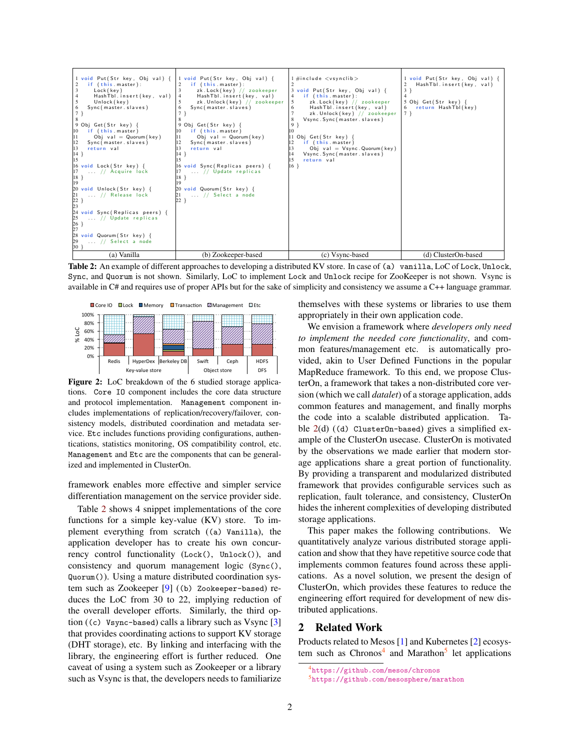<span id="page-1-1"></span>

| 1 void Put(Str key, Obj val) {<br>if (this.master):<br>3<br>Lock (key)<br>$\overline{4}$<br>HashTbl.insert(key, val)<br>Unlock (key)<br>5<br>Sync(master.slaves)<br>6<br>7 <sub>3</sub><br>8<br>9 Obj Get (Str key) {<br>10<br>if (this master)<br>11<br>Obj val = $Quorum(key)$<br>12<br>Sync(master.slaves)<br> 13<br>return val<br>14 }<br>15<br>16 void Lock (Str key) {<br>$\begin{array}{c} 17 \\ 18 \end{array}$<br>$\ldots$ // Acquire lock<br>19<br>20 void Unlock(Str key) {<br>$\begin{array}{c} 21 \\ 22 \\ 23 \end{array}$<br>// Release lock<br>24 void Sync (Replicas peers) {<br>25<br>26<br>27<br>// Update replicas<br>28 void Quorum (Str key) {<br>29<br>$\ldots$ // Select a node<br>30) | 1 void Put(Str key, Obj val) {<br>if (this master):<br>zk. Lock(key) // zookeeper<br>3<br>HashTbl.insert(key, val)<br>zk. Unlock(key) // zookeeper<br>Sync (master . slaves)<br>6<br>9 Obj Get (Str key) {<br>if (this master)<br>10<br>Obj val = Quorum (key)<br>11<br>Sync (master . slaves)<br>12<br>return val<br>13<br>$14$ }<br>16 void Sync (Replicas peers) {<br>// Update replicas<br>18<br>19<br>20 void Quorum (Str key) {<br>$\ldots$ // Select a node<br>21<br>$22$ } | $1 \#$ include $\lt$ vsynclib $>$<br>3 void Put(Str key, Obj val) {<br>if (this.master):<br>4<br>zk. Lock (key) // zookeeper<br>5<br>HashTbl.insert(key, val)<br>6<br>zk. Unlock (key) // zookeeper<br>Vsync. Sync (master. slaves)<br>8<br>9 }<br>10<br>11 Obj Get (Str key) {<br>if (this.master)<br>Obj val = $V$ sync. Quorum (key)<br>Vsync. Sync (master. slaves)<br>return val<br>15<br>$16$ } | 1 void Put(Str key, Obj val) {<br>HashTbl.insert(key, val)<br>$3$ }<br>$\overline{4}$<br>5 Obj Get (Str key) {<br>return HashTbl(key)<br>6<br>$7$ } |
|---------------------------------------------------------------------------------------------------------------------------------------------------------------------------------------------------------------------------------------------------------------------------------------------------------------------------------------------------------------------------------------------------------------------------------------------------------------------------------------------------------------------------------------------------------------------------------------------------------------------------------------------------------------------------------------------------------------|------------------------------------------------------------------------------------------------------------------------------------------------------------------------------------------------------------------------------------------------------------------------------------------------------------------------------------------------------------------------------------------------------------------------------------------------------------------------------------|-------------------------------------------------------------------------------------------------------------------------------------------------------------------------------------------------------------------------------------------------------------------------------------------------------------------------------------------------------------------------------------------------------|-----------------------------------------------------------------------------------------------------------------------------------------------------|
| (a) Vanilla                                                                                                                                                                                                                                                                                                                                                                                                                                                                                                                                                                                                                                                                                                   | (b) Zookeeper-based                                                                                                                                                                                                                                                                                                                                                                                                                                                                | (c) Vsync-based                                                                                                                                                                                                                                                                                                                                                                                       | (d) ClusterOn-based                                                                                                                                 |

Table 2: An example of different approaches to developing a distributed KV store. In case of (a) vanilla, LoC of Lock, Unlock, Sync, and Quorum is not shown. Similarly, LoC to implement Lock and Unlock recipe for ZooKeeper is not shown. Vsync is available in C# and requires use of proper APIs but for the sake of simplicity and consistency we assume a C++ language grammar.

<span id="page-1-0"></span>

Figure 2: LoC breakdown of the 6 studied storage applications. Core IO component includes the core data structure and protocol implementation. Management component includes implementations of replication/recovery/failover, consistency models, distributed coordination and metadata service. Etc includes functions providing configurations, authentications, statistics monitoring, OS compatibility control, etc. Management and Etc are the components that can be generalized and implemented in ClusterOn.

framework enables more effective and simpler service differentiation management on the service provider side.

Table [2](#page-1-1) shows 4 snippet implementations of the core functions for a simple key-value (KV) store. To implement everything from scratch ((a) Vanilla), the application developer has to create his own concurrency control functionality (Lock(), Unlock()), and consistency and quorum management logic (Sync(), Quorum()). Using a mature distributed coordination system such as Zookeeper [\[9\]](#page-4-0) ((b) Zookeeper-based) reduces the LoC from 30 to 22, implying reduction of the overall developer efforts. Similarly, the third option  $((c)$  Vsync-based) calls a library such as Vsync  $[3]$ that provides coordinating actions to support KV storage (DHT storage), etc. By linking and interfacing with the library, the engineering effort is further reduced. One caveat of using a system such as Zookeeper or a library such as Vsync is that, the developers needs to familiarize themselves with these systems or libraries to use them appropriately in their own application code.

We envision a framework where *developers only need to implement the needed core functionality*, and common features/management etc. is automatically provided, akin to User Defined Functions in the popular MapReduce framework. To this end, we propose ClusterOn, a framework that takes a non-distributed core version (which we call *datalet*) of a storage application, adds common features and management, and finally morphs the code into a scalable distributed application. Table  $2(d)$  $2(d)$  ((d) Cluster0n-based) gives a simplified example of the ClusterOn usecase. ClusterOn is motivated by the observations we made earlier that modern storage applications share a great portion of functionality. By providing a transparent and modularized distributed framework that provides configurable services such as replication, fault tolerance, and consistency, ClusterOn hides the inherent complexities of developing distributed storage applications.

This paper makes the following contributions. We quantitatively analyze various distributed storage application and show that they have repetitive source code that implements common features found across these applications. As a novel solution, we present the design of ClusterOn, which provides these features to reduce the engineering effort required for development of new distributed applications.

### 2 Related Work

Products related to Mesos [\[1\]](#page-4-2) and Kubernetes [\[2\]](#page-4-3) ecosystem such as Chronos<sup>4</sup> and Marathon<sup>5</sup> let applications

<sup>4</sup><https://github.com/mesos/chronos>

<sup>5</sup><https://github.com/mesosphere/marathon>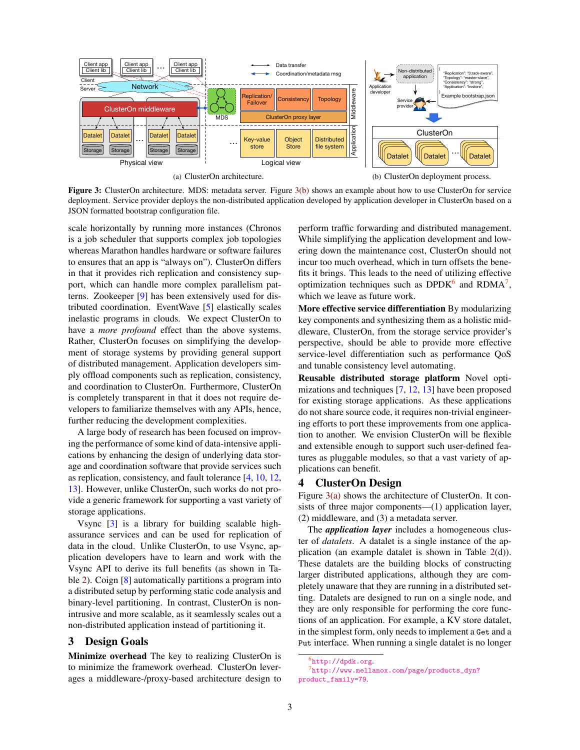<span id="page-2-1"></span>

Figure 3: ClusterOn architecture. MDS: metadata server. Figure [3\(b\)](#page-2-0) shows an example about how to use ClusterOn for service deployment. Service provider deploys the non-distributed application developed by application developer in ClusterOn based on a JSON formatted bootstrap configuration file.

scale horizontally by running more instances (Chronos is a job scheduler that supports complex job topologies whereas Marathon handles hardware or software failures to ensures that an app is "always on"). ClusterOn differs in that it provides rich replication and consistency support, which can handle more complex parallelism patterns. Zookeeper [\[9\]](#page-4-0) has been extensively used for distributed coordination. EventWave [\[5\]](#page-4-4) elastically scales inelastic programs in clouds. We expect ClusterOn to have a *more profound* effect than the above systems. Rather, ClusterOn focuses on simplifying the development of storage systems by providing general support of distributed management. Application developers simply offload components such as replication, consistency, and coordination to ClusterOn. Furthermore, ClusterOn is completely transparent in that it does not require developers to familiarize themselves with any APIs, hence, further reducing the development complexities.

A large body of research has been focused on improving the performance of some kind of data-intensive applications by enhancing the design of underlying data storage and coordination software that provide services such as replication, consistency, and fault tolerance [\[4,](#page-4-5) [10,](#page-4-6) [12,](#page-4-7) [13\]](#page-4-8). However, unlike ClusterOn, such works do not provide a generic framework for supporting a vast variety of storage applications.

Vsync [\[3\]](#page-4-1) is a library for building scalable highassurance services and can be used for replication of data in the cloud. Unlike ClusterOn, to use Vsync, application developers have to learn and work with the Vsync API to derive its full benefits (as shown in Table [2\)](#page-1-1). Coign [\[8\]](#page-4-9) automatically partitions a program into a distributed setup by performing static code analysis and binary-level partitioning. In contrast, ClusterOn is nonintrusive and more scalable, as it seamlessly scales out a non-distributed application instead of partitioning it.

## 3 Design Goals

Minimize overhead The key to realizing ClusterOn is to minimize the framework overhead. ClusterOn leverages a middleware-/proxy-based architecture design to <span id="page-2-0"></span>perform traffic forwarding and distributed management. While simplifying the application development and lowering down the maintenance cost, ClusterOn should not incur too much overhead, which in turn offsets the benefits it brings. This leads to the need of utilizing effective optimization techniques such as  $DPDK^6$  and  $RDMA^7$ , which we leave as future work.

More effective service differentiation By modularizing key components and synthesizing them as a holistic middleware, ClusterOn, from the storage service provider's perspective, should be able to provide more effective service-level differentiation such as performance QoS and tunable consistency level automating.

Reusable distributed storage platform Novel optimizations and techniques [\[7,](#page-4-10) [12,](#page-4-7) [13\]](#page-4-8) have been proposed for existing storage applications. As these applications do not share source code, it requires non-trivial engineering efforts to port these improvements from one application to another. We envision ClusterOn will be flexible and extensible enough to support such user-defined features as pluggable modules, so that a vast variety of applications can benefit.

#### 4 ClusterOn Design

Figure  $3(a)$  shows the architecture of ClusterOn. It consists of three major components—(1) application layer, (2) middleware, and (3) a metadata server.

The *application layer* includes a homogeneous cluster of *datalets*. A datalet is a single instance of the application (an example datalet is shown in Table [2\(](#page-1-1)d)). These datalets are the building blocks of constructing larger distributed applications, although they are completely unaware that they are running in a distributed setting. Datalets are designed to run on a single node, and they are only responsible for performing the core functions of an application. For example, a KV store datalet, in the simplest form, only needs to implement a Get and a Put interface. When running a single datalet is no longer

<sup>6</sup><http://dpdk.org>.

 $^{7}$ [http://www.mellanox.com/page/products\\_dyn?](http://www.mellanox.com/page/products_dyn?product_family=79) [product\\_family=79](http://www.mellanox.com/page/products_dyn?product_family=79).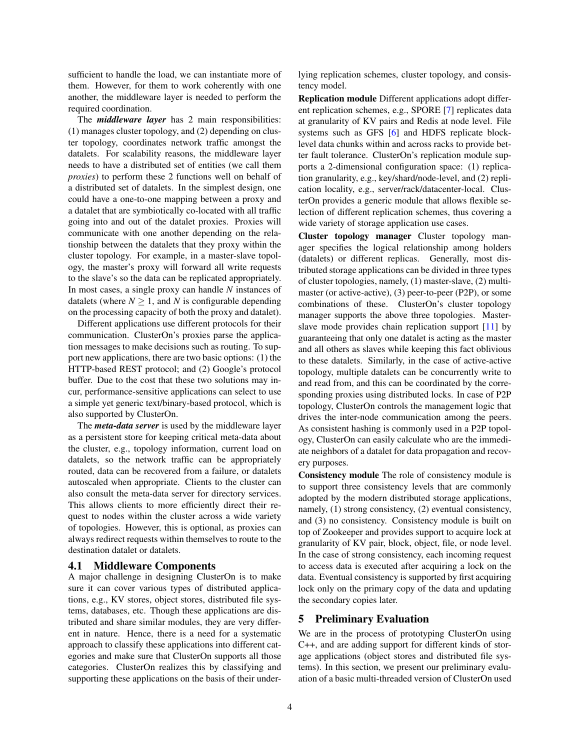sufficient to handle the load, we can instantiate more of them. However, for them to work coherently with one another, the middleware layer is needed to perform the required coordination.

The *middleware layer* has 2 main responsibilities: (1) manages cluster topology, and (2) depending on cluster topology, coordinates network traffic amongst the datalets. For scalability reasons, the middleware layer needs to have a distributed set of entities (we call them *proxies*) to perform these 2 functions well on behalf of a distributed set of datalets. In the simplest design, one could have a one-to-one mapping between a proxy and a datalet that are symbiotically co-located with all traffic going into and out of the datalet proxies. Proxies will communicate with one another depending on the relationship between the datalets that they proxy within the cluster topology. For example, in a master-slave topology, the master's proxy will forward all write requests to the slave's so the data can be replicated appropriately. In most cases, a single proxy can handle *N* instances of datalets (where  $N \geq 1$ , and *N* is configurable depending on the processing capacity of both the proxy and datalet).

Different applications use different protocols for their communication. ClusterOn's proxies parse the application messages to make decisions such as routing. To support new applications, there are two basic options: (1) the HTTP-based REST protocol; and (2) Google's protocol buffer. Due to the cost that these two solutions may incur, performance-sensitive applications can select to use a simple yet generic text/binary-based protocol, which is also supported by ClusterOn.

The *meta-data server* is used by the middleware layer as a persistent store for keeping critical meta-data about the cluster, e.g., topology information, current load on datalets, so the network traffic can be appropriately routed, data can be recovered from a failure, or datalets autoscaled when appropriate. Clients to the cluster can also consult the meta-data server for directory services. This allows clients to more efficiently direct their request to nodes within the cluster across a wide variety of topologies. However, this is optional, as proxies can always redirect requests within themselves to route to the destination datalet or datalets.

#### 4.1 Middleware Components

A major challenge in designing ClusterOn is to make sure it can cover various types of distributed applications, e.g., KV stores, object stores, distributed file systems, databases, etc. Though these applications are distributed and share similar modules, they are very different in nature. Hence, there is a need for a systematic approach to classify these applications into different categories and make sure that ClusterOn supports all those categories. ClusterOn realizes this by classifying and supporting these applications on the basis of their underlying replication schemes, cluster topology, and consistency model.

Replication module Different applications adopt different replication schemes, e.g., SPORE [\[7\]](#page-4-10) replicates data at granularity of KV pairs and Redis at node level. File systems such as GFS [\[6\]](#page-4-11) and HDFS replicate blocklevel data chunks within and across racks to provide better fault tolerance. ClusterOn's replication module supports a 2-dimensional configuration space: (1) replication granularity, e.g., key/shard/node-level, and (2) replication locality, e.g., server/rack/datacenter-local. ClusterOn provides a generic module that allows flexible selection of different replication schemes, thus covering a wide variety of storage application use cases.

Cluster topology manager Cluster topology manager specifies the logical relationship among holders (datalets) or different replicas. Generally, most distributed storage applications can be divided in three types of cluster topologies, namely, (1) master-slave, (2) multimaster (or active-active), (3) peer-to-peer (P2P), or some combinations of these. ClusterOn's cluster topology manager supports the above three topologies. Masterslave mode provides chain replication support [\[11\]](#page-4-12) by guaranteeing that only one datalet is acting as the master and all others as slaves while keeping this fact oblivious to these datalets. Similarly, in the case of active-active topology, multiple datalets can be concurrently write to and read from, and this can be coordinated by the corresponding proxies using distributed locks. In case of P2P topology, ClusterOn controls the management logic that drives the inter-node communication among the peers. As consistent hashing is commonly used in a P2P topology, ClusterOn can easily calculate who are the immediate neighbors of a datalet for data propagation and recovery purposes.

Consistency module The role of consistency module is to support three consistency levels that are commonly adopted by the modern distributed storage applications, namely, (1) strong consistency, (2) eventual consistency, and (3) no consistency. Consistency module is built on top of Zookeeper and provides support to acquire lock at granularity of KV pair, block, object, file, or node level. In the case of strong consistency, each incoming request to access data is executed after acquiring a lock on the data. Eventual consistency is supported by first acquiring lock only on the primary copy of the data and updating the secondary copies later.

## 5 Preliminary Evaluation

We are in the process of prototyping ClusterOn using C++, and are adding support for different kinds of storage applications (object stores and distributed file systems). In this section, we present our preliminary evaluation of a basic multi-threaded version of ClusterOn used